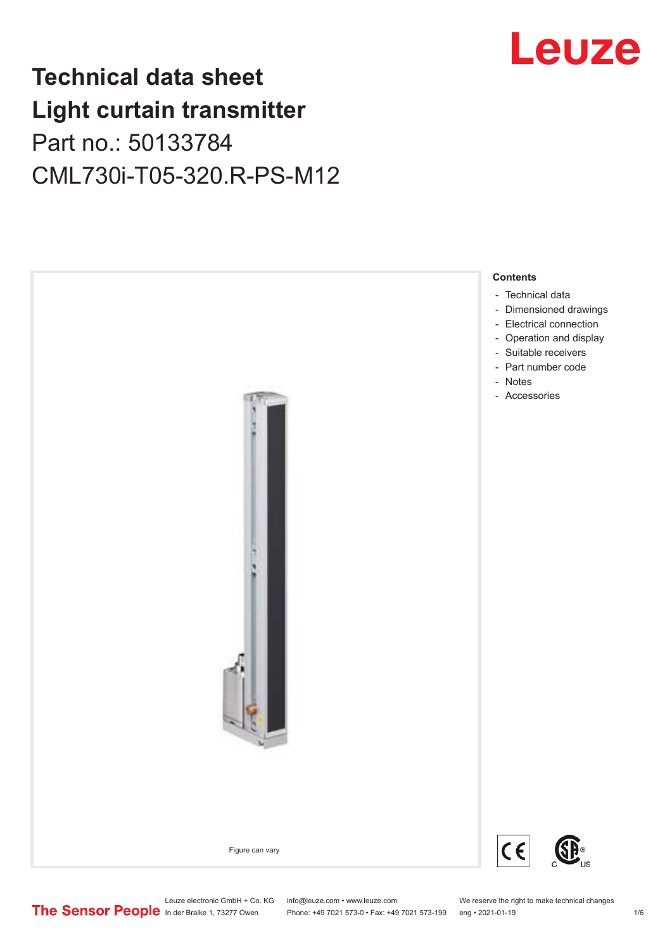## **Technical data sheet Light curtain transmitter** Part no.: 50133784 CML730i-T05-320.R-PS-M12



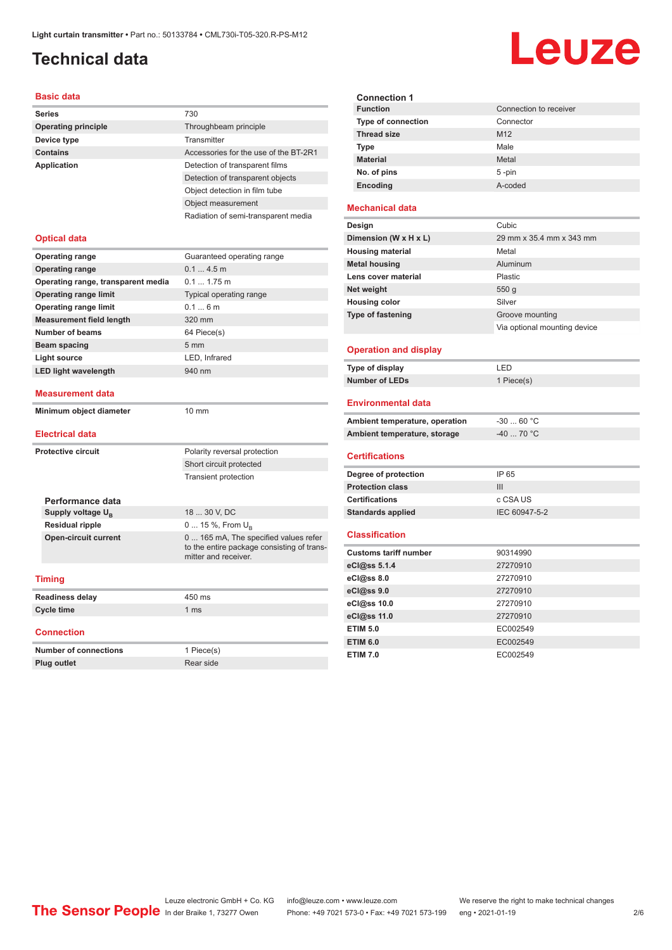## <span id="page-1-0"></span>**Technical data**

### **Basic data**

| Dasit uata                         |                                       |
|------------------------------------|---------------------------------------|
| <b>Series</b>                      | 730                                   |
| <b>Operating principle</b>         | Throughbeam principle                 |
| Device type                        | Transmitter                           |
| <b>Contains</b>                    | Accessories for the use of the BT-2R1 |
| <b>Application</b>                 | Detection of transparent films        |
|                                    | Detection of transparent objects      |
|                                    | Object detection in film tube         |
|                                    | Object measurement                    |
|                                    | Radiation of semi-transparent media   |
|                                    |                                       |
| <b>Optical data</b>                |                                       |
| <b>Operating range</b>             | Guaranteed operating range            |
| <b>Operating range</b>             | 0.14.5m                               |
| Operating range, transparent media | $0.11.75$ m                           |
| <b>Operating range limit</b>       | Typical operating range               |
| <b>Operating range limit</b>       | 0.16m                                 |
| <b>Measurement field length</b>    | 320 mm                                |
| Number of beams                    | 64 Piece(s)                           |
| <b>Beam spacing</b>                | 5 <sub>mm</sub>                       |
| <b>Light source</b>                | LED, Infrared                         |
| <b>LED light wavelength</b>        | 940 nm                                |
|                                    |                                       |
| <b>Measurement data</b>            |                                       |
| Minimum object diameter            | $10 \text{ mm}$                       |
|                                    |                                       |
| Electrical data                    |                                       |

### **Electrical data**

| <b>Protective circuit</b> |                               | Polarity reversal protection                                                                                |
|---------------------------|-------------------------------|-------------------------------------------------------------------------------------------------------------|
|                           |                               | Short circuit protected                                                                                     |
|                           |                               | <b>Transient protection</b>                                                                                 |
|                           |                               |                                                                                                             |
|                           | Performance data              |                                                                                                             |
|                           | Supply voltage U <sub>p</sub> | 18  30 V, DC                                                                                                |
|                           | <b>Residual ripple</b>        | 0  15 %, From $U_{\rm B}$                                                                                   |
|                           | <b>Open-circuit current</b>   | 0  165 mA, The specified values refer<br>to the entire package consisting of trans-<br>mitter and receiver. |
|                           | <b>Timing</b>                 |                                                                                                             |
|                           | <b>Readiness delay</b>        | 450 ms                                                                                                      |
| <b>Cycle time</b>         |                               | 1 ms                                                                                                        |
|                           |                               |                                                                                                             |
|                           |                               |                                                                                                             |

#### **Connection**

| Number of connections | 1 Piece(s) |
|-----------------------|------------|
| <b>Plug outlet</b>    | Rear side  |

| <b>Connection 1</b>       |                        |
|---------------------------|------------------------|
| <b>Function</b>           | Connection to receiver |
| <b>Type of connection</b> | Connector              |
| <b>Thread size</b>        | M <sub>12</sub>        |
| <b>Type</b>               | Male                   |
| <b>Material</b>           | Metal                  |
| No. of pins               | $5 - pin$              |
| Encoding                  | A-coded                |

### **Mechanical data**

| Design                   | Cubic                        |
|--------------------------|------------------------------|
| Dimension (W x H x L)    | 29 mm x 35.4 mm x 343 mm     |
| <b>Housing material</b>  | Metal                        |
| <b>Metal housing</b>     | Aluminum                     |
| Lens cover material      | Plastic                      |
| Net weight               | 550q                         |
| <b>Housing color</b>     | Silver                       |
| <b>Type of fastening</b> | Groove mounting              |
|                          | Via optional mounting device |
|                          |                              |

### **Operation and display**

| Type of display | ' FD.      |
|-----------------|------------|
| Number of LEDs  | 1 Piece(s) |

### **Environmental data**

| Ambient temperature, operation | -30  60 °C |
|--------------------------------|------------|
| Ambient temperature, storage   | -40  70 °C |

### **Certifications**

| Degree of protection     | IP 65         |
|--------------------------|---------------|
| <b>Protection class</b>  | Ш             |
| <b>Certifications</b>    | c CSA US      |
| <b>Standards applied</b> | IEC 60947-5-2 |

#### **Classification**

| <b>Customs tariff number</b> | 90314990 |
|------------------------------|----------|
| eCl@ss 5.1.4                 | 27270910 |
| eCl@ss 8.0                   | 27270910 |
| $eC$ <sub>l</sub> $@ss$ 9.0  | 27270910 |
| eCl@ss 10.0                  | 27270910 |
| eCl@ss 11.0                  | 27270910 |
| <b>ETIM 5.0</b>              | EC002549 |
| <b>ETIM 6.0</b>              | EC002549 |
| <b>ETIM 7.0</b>              | EC002549 |

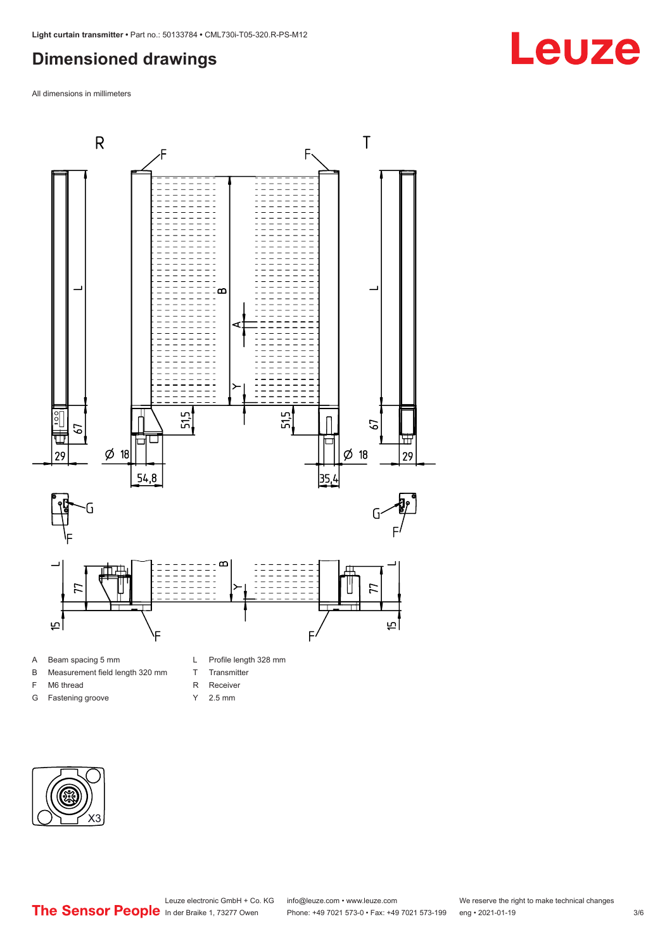## <span id="page-2-0"></span>**Dimensioned drawings**

All dimensions in millimeters



A Beam spacing 5 mm

- B Measurement field length 320 mm
- F M6 thread
- G Fastening groove
- 
- T Transmitter
- R Receiver
- Y 2.5 mm



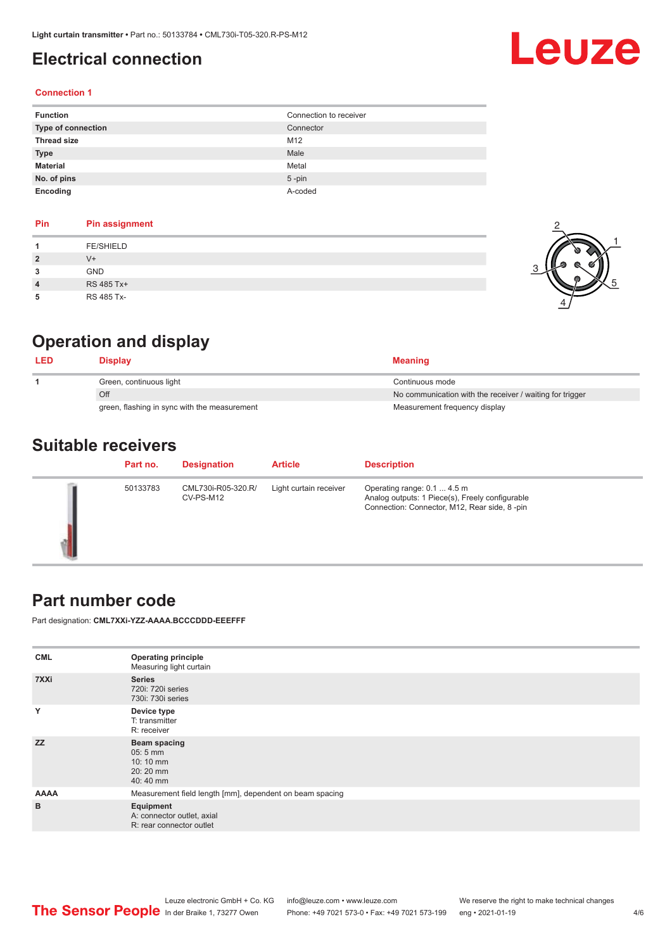## <span id="page-3-0"></span>**Electrical connection**

# Leuze

### **Connection 1**

| <b>Function</b>    | Connection to receiver |
|--------------------|------------------------|
| Type of connection | Connector              |
| <b>Thread size</b> | M12                    |
| <b>Type</b>        | Male                   |
| <b>Material</b>    | Metal                  |
| No. of pins        | $5$ -pin               |
| Encoding           | A-coded                |

| Pin            | <b>Pin assignment</b> |
|----------------|-----------------------|
|                | <b>FE/SHIELD</b>      |
| $\overline{2}$ | $V +$                 |
| 3              | <b>GND</b>            |
| 4              | RS 485 Tx+            |
|                | RS 485 Tx-            |



## **Operation and display**

| LED | Displav                                      | <b>Meaning</b>                                           |
|-----|----------------------------------------------|----------------------------------------------------------|
|     | Green, continuous light                      | Continuous mode                                          |
|     | Off                                          | No communication with the receiver / waiting for trigger |
|     | green, flashing in sync with the measurement | Measurement frequency display                            |

## **Suitable receivers**

| Part no. | <b>Designation</b>              | <b>Article</b>         | <b>Description</b>                                                                                                             |
|----------|---------------------------------|------------------------|--------------------------------------------------------------------------------------------------------------------------------|
| 50133783 | CML730i-R05-320.R/<br>CV-PS-M12 | Light curtain receiver | Operating range: 0.1  4.5 m<br>Analog outputs: 1 Piece(s), Freely configurable<br>Connection: Connector, M12, Rear side, 8-pin |

### **Part number code**

Part designation: **CML7XXi-YZZ-AAAA.BCCCDDD-EEEFFF**

| <b>CML</b>  | <b>Operating principle</b><br>Measuring light curtain                       |  |  |  |  |
|-------------|-----------------------------------------------------------------------------|--|--|--|--|
| 7XXi        | <b>Series</b><br>720i: 720i series<br>730i: 730i series                     |  |  |  |  |
| Y           | Device type<br>T: transmitter<br>R: receiver                                |  |  |  |  |
| <b>ZZ</b>   | Beam spacing<br>$05:5$ mm<br>$10:10 \, \text{mm}$<br>$20:20$ mm<br>40:40 mm |  |  |  |  |
| <b>AAAA</b> | Measurement field length [mm], dependent on beam spacing                    |  |  |  |  |
| B           | Equipment<br>A: connector outlet, axial<br>R: rear connector outlet         |  |  |  |  |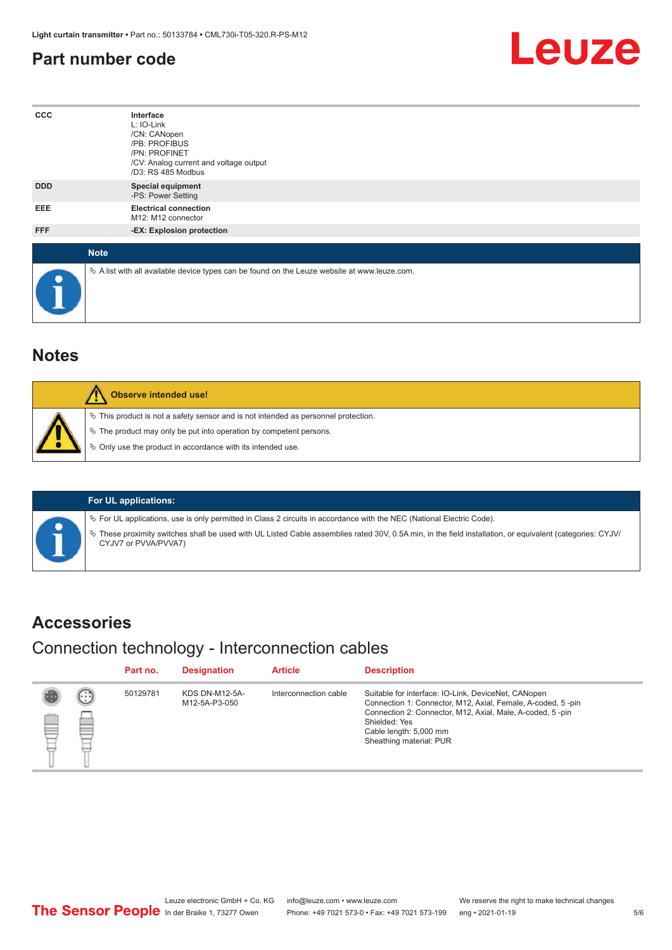## <span id="page-4-0"></span>**Part number code**



| $_{\rm ccc}$ | Interface<br>L: IO-Link<br>/CN: CANopen<br>/PB: PROFIBUS<br>/PN: PROFINET<br>/CV: Analog current and voltage output<br>/D3: RS 485 Modbus |  |  |  |  |  |
|--------------|-------------------------------------------------------------------------------------------------------------------------------------------|--|--|--|--|--|
| <b>DDD</b>   | <b>Special equipment</b><br>-PS: Power Setting                                                                                            |  |  |  |  |  |
| <b>EEE</b>   | <b>Electrical connection</b><br>M12: M12 connector                                                                                        |  |  |  |  |  |
| FFF          | -EX: Explosion protection                                                                                                                 |  |  |  |  |  |
| <b>Note</b>  |                                                                                                                                           |  |  |  |  |  |
| $\bullet$    | $\&$ A list with all available device types can be found on the Leuze website at www.leuze.com.                                           |  |  |  |  |  |

## **Notes**

| Observe intended use!                                                                                                                                                                                                      |
|----------------------------------------------------------------------------------------------------------------------------------------------------------------------------------------------------------------------------|
| $\%$ This product is not a safety sensor and is not intended as personnel protection.<br>§ The product may only be put into operation by competent persons.<br>§ Only use the product in accordance with its intended use. |

### **For UL applications:**

ª For UL applications, use is only permitted in Class 2 circuits in accordance with the NEC (National Electric Code).

ª These proximity switches shall be used with UL Listed Cable assemblies rated 30V, 0.5A min, in the field installation, or equivalent (categories: CYJV/ CYJV7 or PVVA/PVVA7)

## **Accessories**

### Connection technology - Interconnection cables

|   |                        | Part no. | <b>Designation</b>              | <b>Article</b>        | <b>Description</b>                                                                                                                                                                                                                                    |
|---|------------------------|----------|---------------------------------|-----------------------|-------------------------------------------------------------------------------------------------------------------------------------------------------------------------------------------------------------------------------------------------------|
| ₿ | (.<br><b>From</b><br>œ | 50129781 | KDS DN-M12-5A-<br>M12-5A-P3-050 | Interconnection cable | Suitable for interface: IO-Link, DeviceNet, CANopen<br>Connection 1: Connector, M12, Axial, Female, A-coded, 5-pin<br>Connection 2: Connector, M12, Axial, Male, A-coded, 5-pin<br>Shielded: Yes<br>Cable length: 5,000 mm<br>Sheathing material: PUR |